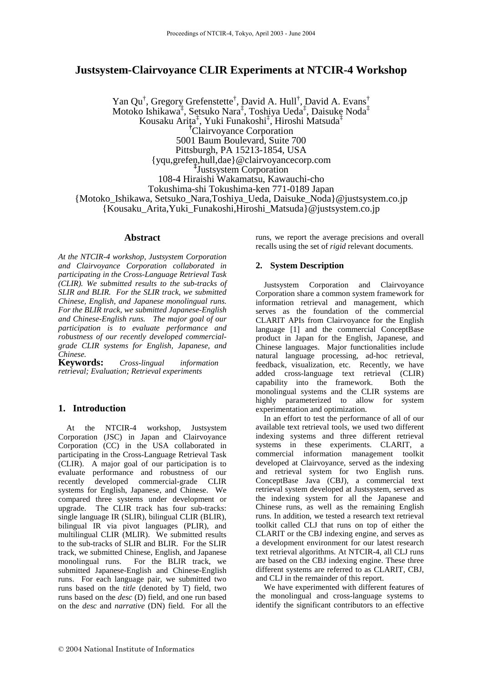## **Justsystem-Clairvoyance CLIR Experiments at NTCIR-4 Workshop**

Yan Qu<sup>†</sup>, Gregory Grefenstette<sup>†</sup>, David A. Hull<sup>†</sup>, David A. Evans<sup>†</sup> Motoko Ishikawa‡ , Setsuko Nara‡ , Toshiya Ueda‡ , Daisuke Noda‡ Kousaku Arita‡ , Yuki Funakoshi‡ , Hiroshi Matsuda‡ **†**Clairvoyance Corporation 5001 Baum Boulevard, Suite 700 Pittsburgh, PA 15213-1854, USA {yqu,grefen,hull,dae}@clairvoyancecorp.com **‡** Justsystem Corporation 108-4 Hiraishi Wakamatsu, Kawauchi-cho Tokushima-shi Tokushima-ken 771-0189 Japan {Motoko\_Ishikawa, Setsuko\_Nara,Toshiya\_Ueda, Daisuke\_Noda}@justsystem.co.jp {Kousaku\_Arita,Yuki\_Funakoshi,Hiroshi\_Matsuda}@justsystem.co.jp

## **Abstract**

*At the NTCIR-4 workshop, Justsystem Corporation and Clairvoyance Corporation collaborated in participating in the Cross-Language Retrieval Task (CLIR). We submitted results to the sub-tracks of SLIR and BLIR. For the SLIR track, we submitted Chinese, English, and Japanese monolingual runs. For the BLIR track, we submitted Japanese-English and Chinese-English runs. The major goal of our participation is to evaluate performance and robustness of our recently developed commercialgrade CLIR systems for English, Japanese, and Chinese.* 

**Keywords:** *Cross-lingual information retrieval; Evaluation; Retrieval experiments* 

## **1. Introduction**

At the NTCIR-4 workshop, Justsystem Corporation (JSC) in Japan and Clairvoyance Corporation (CC) in the USA collaborated in participating in the Cross-Language Retrieval Task (CLIR). A major goal of our participation is to evaluate performance and robustness of our recently developed commercial-grade CLIR systems for English, Japanese, and Chinese. We compared three systems under development or upgrade. The CLIR track has four sub-tracks: single language IR (SLIR), bilingual CLIR (BLIR), bilingual IR via pivot languages (PLIR), and multilingual CLIR (MLIR). We submitted results to the sub-tracks of SLIR and BLIR. For the SLIR track, we submitted Chinese, English, and Japanese monolingual runs. For the BLIR track, we submitted Japanese-English and Chinese-English runs. For each language pair, we submitted two runs based on the *title* (denoted by T) field, two runs based on the *desc* (D) field, and one run based on the *desc* and *narrative* (DN) field. For all the runs, we report the average precisions and overall recalls using the set of *rigid* relevant documents.

## **2. System Description**

Justsystem Corporation and Clairvoyance Corporation share a common system framework for information retrieval and management, which serves as the foundation of the commercial CLARIT APIs from Clairvoyance for the English language [1] and the commercial ConceptBase product in Japan for the English, Japanese, and Chinese languages. Major functionalities include natural language processing, ad-hoc retrieval, feedback, visualization, etc. Recently, we have added cross-language text retrieval (CLIR) capability into the framework. Both the monolingual systems and the CLIR systems are highly parameterized to allow for system experimentation and optimization.

In an effort to test the performance of all of our available text retrieval tools, we used two different indexing systems and three different retrieval systems in these experiments. CLARIT, a commercial information management toolkit developed at Clairvoyance, served as the indexing and retrieval system for two English runs. ConceptBase Java (CBJ), a commercial text retrieval system developed at Justsystem, served as the indexing system for all the Japanese and Chinese runs, as well as the remaining English runs. In addition, we tested a research text retrieval toolkit called CLJ that runs on top of either the CLARIT or the CBJ indexing engine, and serves as a development environment for our latest research text retrieval algorithms. At NTCIR-4, all CLJ runs are based on the CBJ indexing engine. These three different systems are referred to as CLARIT, CBJ, and CLJ in the remainder of this report.

We have experimented with different features of the monolingual and cross-language systems to identify the significant contributors to an effective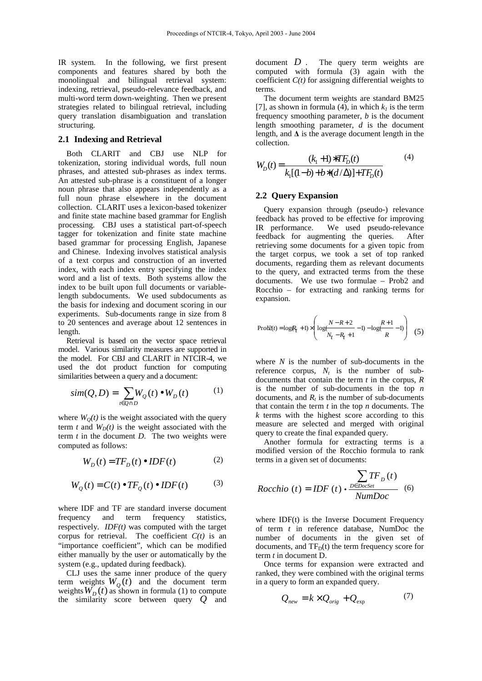IR system. In the following, we first present components and features shared by both the monolingual and bilingual retrieval system: indexing, retrieval, pseudo-relevance feedback, and multi-word term down-weighting. Then we present strategies related to bilingual retrieval, including query translation disambiguation and translation structuring.

#### **2.1 Indexing and Retrieval**

Both CLARIT and CBJ use NLP for tokenization, storing individual words, full noun phrases, and attested sub-phrases as index terms. An attested sub-phrase is a constituent of a longer noun phrase that also appears independently as a full noun phrase elsewhere in the document collection. CLARIT uses a lexicon-based tokenizer and finite state machine based grammar for English processing. CBJ uses a statistical part-of-speech tagger for tokenization and finite state machine based grammar for processing English, Japanese and Chinese. Indexing involves statistical analysis of a text corpus and construction of an inverted index, with each index entry specifying the index word and a list of texts. Both systems allow the index to be built upon full documents or variablelength subdocuments. We used subdocuments as the basis for indexing and document scoring in our experiments. Sub-documents range in size from 8 to 20 sentences and average about 12 sentences in length.

Retrieval is based on the vector space retrieval model. Various similarity measures are supported in the model. For CBJ and CLARIT in NTCIR-4, we used the dot product function for computing similarities between a query and a document:

$$
sim(Q, D) = \sum_{t \in Q \cap D} W_Q(t) \bullet W_D(t) \tag{1}
$$

where  $W<sub>O</sub>(t)$  is the weight associated with the query term *t* and  $W_D(t)$  is the weight associated with the term *t* in the document *D*. The two weights were computed as follows:

$$
W_D(t) = T F_D(t) \bullet I D F(t) \tag{2}
$$

$$
W_Q(t) = C(t) \bullet TF_Q(t) \bullet IDF(t) \tag{3}
$$

where IDF and TF are standard inverse document frequency and term frequency statistics, respectively. *IDF(t)* was computed with the target corpus for retrieval. The coefficient  $C(t)$  is an "importance coefficient", which can be modified either manually by the user or automatically by the system (e.g., updated during feedback).

CLJ uses the same inner produce of the query term weights  $W_Q(t)$  and the document term weights  $W_D(t)$  as shown in formula (1) to compute the similarity score between query  $Q$  and

document *D* . The query term weights are computed with formula (3) again with the coefficient  $C(t)$  for assigning differential weights to terms.

The document term weights are standard BM25 [7], as shown in formula (4), in which  $k<sub>l</sub>$  is the term frequency smoothing parameter, *b* is the document length smoothing parameter, *d* is the document length, and  $\Delta$  is the average document length in the collection.

$$
W_D(t) = \frac{(k_1 + 1) * T F_D(t)}{k_1 [(1 - b) + b * (d/\Delta)] + T F_D(t)}
$$
(4)

## **2.2 Query Expansion**

Query expansion through (pseudo-) relevance feedback has proved to be effective for improving IR performance. We used pseudo-relevance feedback for augmenting the queries. After retrieving some documents for a given topic from the target corpus, we took a set of top ranked documents, regarding them as relevant documents to the query, and extracted terms from the these documents. We use two formulae – Prob2 and Rocchio – for extracting and ranking terms for expansion.

$$
\text{Prob2}(t) = \log(R_t + 1) \times \left( \log \frac{N - R + 2}{N_t - R_t + 1} - 1) - \log \frac{R + 1}{R} - 1) \right) \tag{5}
$$

where *N* is the number of sub-documents in the reference corpus,  $N_t$  is the number of subdocuments that contain the term *t* in the corpus, *R* is the number of sub-documents in the top *n* documents, and  $R_t$  is the number of sub-documents that contain the term *t* in the top *n* documents. The *k* terms with the highest score according to this measure are selected and merged with original query to create the final expanded query.

Another formula for extracting terms is a modified version of the Rocchio formula to rank terms in a given set of documents:

$$
Rocchio (t) = IDF (t) \cdot \frac{\sum_{D \in DocSet} TF_D (t)}{NumDoc} \quad (6)
$$

where  $IDF(t)$  is the Inverse Document Frequency of term *t* in reference database, NumDoc the number of documents in the given set of documents, and  $TF_D(t)$  the term frequency score for term *t* in document D.

Once terms for expansion were extracted and ranked, they were combined with the original terms in a query to form an expanded query.

$$
Q_{new} = k \times Q_{orig} + Q_{exp}
$$
 (7)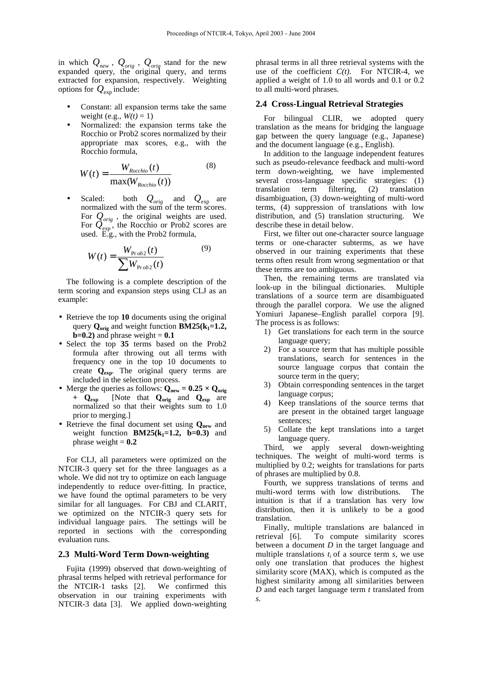in which *Qnew* , *Qorig* , *Qorig* stand for the new expanded query, the original query, and terms extracted for expansion, respectively. Weighting options for  $Q_{\text{exp}}$  include:

- Constant: all expansion terms take the same weight (e.g.,  $W(t) = 1$ )
- Normalized: the expansion terms take the Rocchio or Prob2 scores normalized by their appropriate max scores, e.g., with the Rocchio formula,

$$
W(t) = \frac{W_{Rocchio}(t)}{\max(W_{Rocchio}(t))}
$$
(8)

• Scaled: both *Qorig* and *Q*exp are normalized with the sum of the term scores. For  $Q_{orig}$ , the original weights are used. For  $\overline{Q}_{\text{exp}}^{\text{orig}}$ , the Rocchio or Prob2 scores are used. E.g., with the Prob2 formula,

$$
W(t) = \frac{W_{\text{Pr}ob2}(t)}{\sum W_{\text{Pr}ob2}(t)}
$$
(9)

The following is a complete description of the term scoring and expansion steps using CLJ as an example:

- Retrieve the top **10** documents using the original query **Qorig** and weight function **BM25(k1=1.2, ) and phrase weight =**  $**0.1**$
- Select the top **35** terms based on the Prob2 formula after throwing out all terms with frequency one in the top 10 documents to create **Qexp**. The original query terms are included in the selection process.
- Merge the queries as follows:  $Q_{new} = 0.25 \times Q_{orig}$ **+ Qexp** [Note that **Qorig** and **Qexp** are normalized so that their weights sum to 1.0 prior to merging.]
- Retrieve the final document set using **Qnew** and weight function  $BM25(k_1=1.2, b=0.3)$  and phrase weight  $= 0.2$

For CLJ, all parameters were optimized on the NTCIR-3 query set for the three languages as a whole. We did not try to optimize on each language independently to reduce over-fitting. In practice, we have found the optimal parameters to be very similar for all languages. For CBJ and CLARIT, we optimized on the NTCIR-3 query sets for individual language pairs. The settings will be reported in sections with the corresponding evaluation runs.

## **2.3 Multi-Word Term Down-weighting**

Fujita (1999) observed that down-weighting of phrasal terms helped with retrieval performance for<br>the NTCIR-1 tasks [2]. We confirmed this the NTCIR-1 tasks  $[2]$ . observation in our training experiments with NTCIR-3 data [3]. We applied down-weighting

phrasal terms in all three retrieval systems with the use of the coefficient *C(t)*. For NTCIR-4, we applied a weight of 1.0 to all words and 0.1 or 0.2 to all multi-word phrases.

#### **2.4 Cross-Lingual Retrieval Strategies**

For bilingual CLIR, we adopted query translation as the means for bridging the language gap between the query language (e.g., Japanese) and the document language (e.g., English).

In addition to the language independent features such as pseudo-relevance feedback and multi-word term down-weighting, we have implemented several cross-language specific strategies: (1) translation term filtering, (2) translation disambiguation, (3) down-weighting of multi-word terms, (4) suppression of translations with low distribution, and (5) translation structuring. We describe these in detail below.

First, we filter out one-character source language terms or one-character subterms, as we have observed in our training experiments that these terms often result from wrong segmentation or that these terms are too ambiguous.

Then, the remaining terms are translated via look-up in the bilingual dictionaries. Multiple translations of a source term are disambiguated through the parallel corpora. We use the aligned Yomiuri Japanese–English parallel corpora [9]. The process is as follows:

- 1) Get translations for each term in the source language query;
- 2) For a source term that has multiple possible translations, search for sentences in the source language corpus that contain the source term in the query;
- 3) Obtain corresponding sentences in the target language corpus;
- 4) Keep translations of the source terms that are present in the obtained target language sentences;
- 5) Collate the kept translations into a target language query.

Third, we apply several down-weighting techniques. The weight of multi-word terms is multiplied by 0.2; weights for translations for parts of phrases are multiplied by 0.8.

Fourth, we suppress translations of terms and multi-word terms with low distributions. The intuition is that if a translation has very low distribution, then it is unlikely to be a good translation.

Finally, multiple translations are balanced in retrieval [6]. To compute similarity scores between a document *D* in the target language and multiple translations *t<sup>i</sup>* of a source term *s*, we use only one translation that produces the highest similarity score (MAX), which is computed as the highest similarity among all similarities between *D* and each target language term *t* translated from *s.*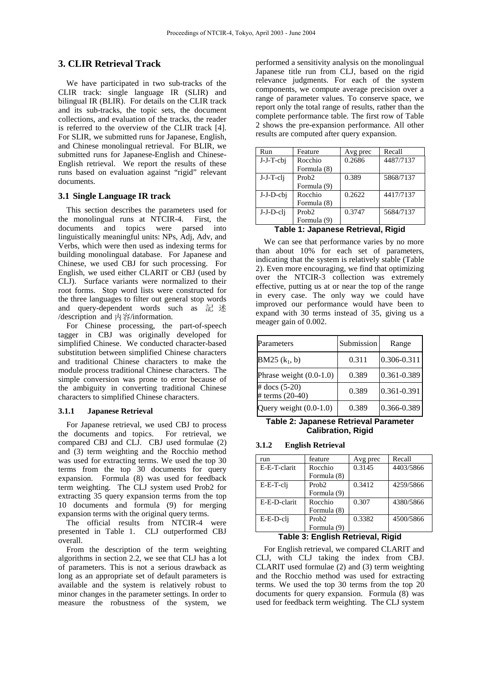## **3. CLIR Retrieval Track**

We have participated in two sub-tracks of the CLIR track: single language IR (SLIR) and bilingual IR (BLIR). For details on the CLIR track and its sub-tracks, the topic sets, the document collections, and evaluation of the tracks, the reader is referred to the overview of the CLIR track [4]. For SLIR, we submitted runs for Japanese, English, and Chinese monolingual retrieval. For BLIR, we submitted runs for Japanese-English and Chinese-English retrieval. We report the results of these runs based on evaluation against "rigid" relevant documents.

## **3.1 Single Language IR track**

This section describes the parameters used for the monolingual runs at NTCIR-4. First, the documents and topics were parsed into linguistically meaningful units: NPs, Adj, Adv, and Verbs, which were then used as indexing terms for building monolingual database. For Japanese and Chinese, we used CBJ for such processing. For English, we used either CLARIT or CBJ (used by CLJ). Surface variants were normalized to their root forms. Stop word lists were constructed for the three languages to filter out general stop words and query-dependent words such as 記 述 /description and 内容/information.

For Chinese processing, the part-of-speech tagger in CBJ was originally developed for simplified Chinese. We conducted character-based substitution between simplified Chinese characters and traditional Chinese characters to make the module process traditional Chinese characters. The simple conversion was prone to error because of the ambiguity in converting traditional Chinese characters to simplified Chinese characters.

#### **3.1.1 Japanese Retrieval**

For Japanese retrieval, we used CBJ to process the documents and topics. For retrieval, we compared CBJ and CLJ. CBJ used formulae (2) and (3) term weighting and the Rocchio method was used for extracting terms. We used the top 30 terms from the top 30 documents for query expansion. Formula (8) was used for feedback term weighting. The CLJ system used Prob2 for extracting 35 query expansion terms from the top 10 documents and formula (9) for merging expansion terms with the original query terms.

The official results from NTCIR-4 were presented in Table 1. CLJ outperformed CBJ overall.

From the description of the term weighting algorithms in section 2.2, we see that CLJ has a lot of parameters. This is not a serious drawback as long as an appropriate set of default parameters is available and the system is relatively robust to minor changes in the parameter settings. In order to measure the robustness of the system, we performed a sensitivity analysis on the monolingual Japanese title run from CLJ, based on the rigid relevance judgments. For each of the system components, we compute average precision over a range of parameter values. To conserve space, we report only the total range of results, rather than the complete performance table. The first row of Table 2 shows the pre-expansion performance. All other results are computed after query expansion.

| Run                                                                                                            | Feature           | Avg prec | Recall    |  |  |
|----------------------------------------------------------------------------------------------------------------|-------------------|----------|-----------|--|--|
| $J-J-T-cbi$                                                                                                    | Rocchio           | 0.2686   | 4487/7137 |  |  |
|                                                                                                                | Formula (8)       |          |           |  |  |
| J-J-T-cli                                                                                                      | Prob <sub>2</sub> | 0.389    | 5868/7137 |  |  |
|                                                                                                                | Formula (9)       |          |           |  |  |
| $J-J-D-cbj$                                                                                                    | Rocchio           | 0.2622   | 4417/7137 |  |  |
|                                                                                                                | Formula (8)       |          |           |  |  |
| J-J-D-cli                                                                                                      | Prob <sub>2</sub> | 0.3747   | 5684/7137 |  |  |
|                                                                                                                | Formula (9)       |          |           |  |  |
| En antaŭ de la provincia de la provincia de la provincia de la provincia de la provincia de la provincia de la |                   |          |           |  |  |

**Table 1: Japanese Retrieval, Rigid** 

We can see that performance varies by no more than about 10% for each set of parameters, indicating that the system is relatively stable (Table 2). Even more encouraging, we find that optimizing over the NTCIR-3 collection was extremely effective, putting us at or near the top of the range in every case. The only way we could have improved our performance would have been to expand with 30 terms instead of 35, giving us a meager gain of 0.002.

| Parameters                           | Submission | Range           |
|--------------------------------------|------------|-----------------|
| <b>BM25</b> $(k_1, b)$               | 0.311      | $0.306 - 0.311$ |
| Phrase weight $(0.0-1.0)$            | 0.389      | 0.361-0.389     |
| # docs $(5-20)$<br># terms $(20-40)$ | 0.389      | 0.361-0.391     |
| Query weight (0.0-1.0)               | 0.389      | 0.366-0.389     |

**Table 2: Japanese Retrieval Parameter Calibration, Rigid** 

#### **3.1.2 English Retrieval**

| run                     | feature           | Avg prec | Recall    |  |  |
|-------------------------|-------------------|----------|-----------|--|--|
| E-E-T-clarit            | Rocchio           | 0.3145   | 4403/5866 |  |  |
|                         | Formula (8)       |          |           |  |  |
| E-E-T-cli               | Prob <sub>2</sub> | 0.3412   | 4259/5866 |  |  |
|                         | Formula (9)       |          |           |  |  |
| E-E-D-clarit            | Rocchio           | 0.307    | 4380/5866 |  |  |
|                         | Formula (8)       |          |           |  |  |
| E-E-D-cli               | Prob <sub>2</sub> | 0.3382   | 4500/5866 |  |  |
|                         | Formula (9)       |          |           |  |  |
| As Facediate Basedareal |                   |          |           |  |  |

#### **Table 3: English Retrieval, Rigid**

For English retrieval, we compared CLARIT and CLJ, with CLJ taking the index from CBJ. CLARIT used formulae  $(2)$  and  $(3)$  term weighting and the Rocchio method was used for extracting terms. We used the top 30 terms from the top 20 documents for query expansion. Formula (8) was used for feedback term weighting. The CLJ system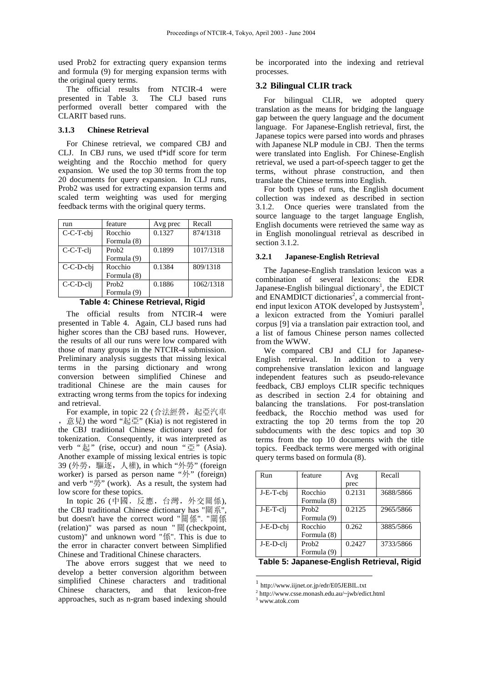used Prob2 for extracting query expansion terms and formula (9) for merging expansion terms with the original query terms.

The official results from NTCIR-4 were presented in Table 3. The CLJ based runs performed overall better compared with the CLARIT based runs.

## **3.1.3 Chinese Retrieval**

For Chinese retrieval, we compared CBJ and CLJ. In CBJ runs, we used tf\*idf score for term weighting and the Rocchio method for query expansion. We used the top 30 terms from the top 20 documents for query expansion. In CLJ runs, Prob2 was used for extracting expansion terms and scaled term weighting was used for merging feedback terms with the original query terms.

| run         | feature           | Avg prec | Recall    |
|-------------|-------------------|----------|-----------|
| C-C-T-cbi   | Rocchio           | 0.1327   | 874/1318  |
|             | Formula (8)       |          |           |
| C-C-T-cli   | Prob <sub>2</sub> | 0.1899   | 1017/1318 |
|             | Formula (9)       |          |           |
| $C-C-D-cbj$ | Rocchio           | 0.1384   | 809/1318  |
|             | Formula (8)       |          |           |
| C-C-D-cli   | Prob <sub>2</sub> | 0.1886   | 1062/1318 |
|             | Formula (9)       |          |           |

**Table 4: Chinese Retrieval, Rigid** 

The official results from NTCIR-4 were presented in Table 4. Again, CLJ based runs had higher scores than the CBJ based runs. However, the results of all our runs were low compared with those of many groups in the NTCIR-4 submission. Preliminary analysis suggests that missing lexical terms in the parsing dictionary and wrong conversion between simplified Chinese and traditional Chinese are the main causes for extracting wrong terms from the topics for indexing and retrieval.

For example, in topic 22 (合法經營, 起亞汽車 , 意見) the word "起亞" (Kia) is not registered in the CBJ traditional Chinese dictionary used for tokenization. Consequently, it was interpreted as verb "起" (rise, occur) and noun "亞" (Asia). Another example of missing lexical entries is topic 39 (外勞,驅逐,人權), in which "外勞" (foreign worker) is parsed as person name "外" (foreign) and verb "勞" (work). As a result, the system had low score for these topics.

In topic 26 (中國,反應,台灣,外交關係), the CBJ traditional Chinese dictionary has "關系", but doesn't have the correct word "關係". "關係 (relation)" was parsed as noun " 關 (checkpoint, custom)" and unknown word "係". This is due to the error in character convert between Simplified Chinese and Traditional Chinese characters.

The above errors suggest that we need to develop a better conversion algorithm between simplified Chinese characters and traditional Chinese characters, and that lexicon-free approaches, such as n-gram based indexing should

be incorporated into the indexing and retrieval processes.

## **3.2 Bilingual CLIR track**

For bilingual CLIR, we adopted query translation as the means for bridging the language gap between the query language and the document language. For Japanese-English retrieval, first, the Japanese topics were parsed into words and phrases with Japanese NLP module in CBJ. Then the terms were translated into English. For Chinese-English retrieval, we used a part-of-speech tagger to get the terms, without phrase construction, and then translate the Chinese terms into English.

For both types of runs, the English document collection was indexed as described in section 3.1.2. Once queries were translated from the source language to the target language English, English documents were retrieved the same way as in English monolingual retrieval as described in section 3.1.2.

#### **3.2.1 Japanese-English Retrieval**

The Japanese-English translation lexicon was a combination of several lexicons: the EDR Japanese-English bilingual dictionary<sup>1</sup>, the EDICT and ENAMDICT dictionaries<sup>2</sup>, a commercial frontend input lexicon ATOK developed by Justsystem<sup>3</sup>, a lexicon extracted from the Yomiuri parallel corpus [9] via a translation pair extraction tool, and a list of famous Chinese person names collected from the WWW.

We compared CBJ and CLJ for Japanese-<br>English retrieval. In addition to a very In addition to a very comprehensive translation lexicon and language independent features such as pseudo-relevance feedback, CBJ employs CLIR specific techniques as described in section 2.4 for obtaining and balancing the translations. For post-translation feedback, the Rocchio method was used for extracting the top 20 terms from the top 20 subdocuments with the desc topics and top 30 terms from the top 10 documents with the title topics. Feedback terms were merged with original query terms based on formula (8).

| Run                                            | feature           | Avg    | Recall    |  |  |
|------------------------------------------------|-------------------|--------|-----------|--|--|
|                                                |                   | prec   |           |  |  |
| $J-E-T-cbj$                                    | Rocchio           | 0.2131 | 3688/5866 |  |  |
|                                                | Formula (8)       |        |           |  |  |
| J-E-T-cli                                      | Prob <sub>2</sub> | 0.2125 | 2965/5866 |  |  |
|                                                | Formula (9)       |        |           |  |  |
| J-E-D-cbi                                      | Rocchio           | 0.262  | 3885/5866 |  |  |
|                                                | Formula (8)       |        |           |  |  |
| J-E-D-cli                                      | Prob <sub>2</sub> | 0.2427 | 3733/5866 |  |  |
|                                                | Formula (9)       |        |           |  |  |
| anangen Englich Dotrioval<br>Tabla E.<br>Dinid |                   |        |           |  |  |

**Table 5: Japanese-English Retrieval, Rigid** 

1 http://www.iijnet.or.jp/edr/E05JEBIL.txt

3 www.atok.com

 $\overline{a}$ 

<sup>2</sup> http://www.csse.monash.edu.au/~jwb/edict.html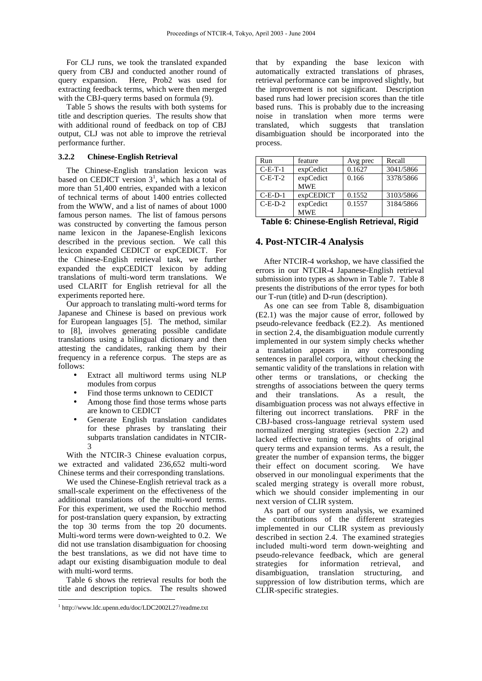For CLJ runs, we took the translated expanded query from CBJ and conducted another round of query expansion. Here, Prob2 was used for extracting feedback terms, which were then merged with the CBJ-query terms based on formula (9).

Table 5 shows the results with both systems for title and description queries. The results show that with additional round of feedback on top of CBJ output, CLJ was not able to improve the retrieval performance further.

## **3.2.2 Chinese-English Retrieval**

The Chinese-English translation lexicon was based on CEDICT version  $3<sup>1</sup>$ , which has a total of more than 51,400 entries, expanded with a lexicon of technical terms of about 1400 entries collected from the WWW, and a list of names of about 1000 famous person names. The list of famous persons was constructed by converting the famous person name lexicon in the Japanese-English lexicons described in the previous section. We call this lexicon expanded CEDICT or expCEDICT. For the Chinese-English retrieval task, we further expanded the expCEDICT lexicon by adding translations of multi-word term translations. We used CLARIT for English retrieval for all the experiments reported here.

Our approach to translating multi-word terms for Japanese and Chinese is based on previous work for European languages [5]. The method, similar to [8], involves generating possible candidate translations using a bilingual dictionary and then attesting the candidates, ranking them by their frequency in a reference corpus. The steps are as follows:

- Extract all multiword terms using NLP modules from corpus
- Find those terms unknown to CEDICT
- Among those find those terms whose parts are known to CEDICT
- Generate English translation candidates for these phrases by translating their subparts translation candidates in NTCIR-3

With the NTCIR-3 Chinese evaluation corpus, we extracted and validated 236,652 multi-word Chinese terms and their corresponding translations.

We used the Chinese-English retrieval track as a small-scale experiment on the effectiveness of the additional translations of the multi-word terms. For this experiment, we used the Rocchio method for post-translation query expansion, by extracting the top 30 terms from the top 20 documents. Multi-word terms were down-weighted to 0.2. We did not use translation disambiguation for choosing the best translations, as we did not have time to adapt our existing disambiguation module to deal with multi-word terms.

Table 6 shows the retrieval results for both the title and description topics. The results showed

 $\overline{a}$ 

that by expanding the base lexicon with automatically extracted translations of phrases, retrieval performance can be improved slightly, but the improvement is not significant. Description based runs had lower precision scores than the title based runs. This is probably due to the increasing noise in translation when more terms were translated, which suggests that translation disambiguation should be incorporated into the process.

| Run       | feature    | Avg prec | Recall    |  |
|-----------|------------|----------|-----------|--|
| $C-E-T-1$ | expCedict  | 0.1627   | 3041/5866 |  |
| $C-F-T-2$ | expCedict  | 0.166    | 3378/5866 |  |
|           | <b>MWE</b> |          |           |  |
| $C-E-D-1$ | expCEDICT  | 0.1552   | 3103/5866 |  |
| $C-E-D-2$ | expCedict  | 0.1557   | 3184/5866 |  |
|           | <b>MWE</b> |          |           |  |

**Table 6: Chinese-English Retrieval, Rigid** 

## **4. Post-NTCIR-4 Analysis**

After NTCIR-4 workshop, we have classified the errors in our NTCIR-4 Japanese-English retrieval submission into types as shown in Table 7. Table 8 presents the distributions of the error types for both our T-run (title) and D-run (description).

As one can see from Table 8, disambiguation (E2.1) was the major cause of error, followed by pseudo-relevance feedback (E2.2). As mentioned in section 2.4, the disambiguation module currently implemented in our system simply checks whether a translation appears in any corresponding sentences in parallel corpora, without checking the semantic validity of the translations in relation with other terms or translations, or checking the strengths of associations between the query terms and their translations. As a result, the disambiguation process was not always effective in filtering out incorrect translations. PRF in the CBJ-based cross-language retrieval system used normalized merging strategies (section 2.2) and lacked effective tuning of weights of original query terms and expansion terms. As a result, the greater the number of expansion terms, the bigger<br>their effect on document scoring. We have their effect on document scoring. observed in our monolingual experiments that the scaled merging strategy is overall more robust, which we should consider implementing in our next version of CLIR system.

As part of our system analysis, we examined the contributions of the different strategies implemented in our CLIR system as previously described in section 2.4. The examined strategies included multi-word term down-weighting and pseudo-relevance feedback, which are general strategies for information retrieval, and disambiguation, translation structuring, and suppression of low distribution terms, which are CLIR-specific strategies.

<sup>1</sup> http://www.ldc.upenn.edu/doc/LDC2002L27/readme.txt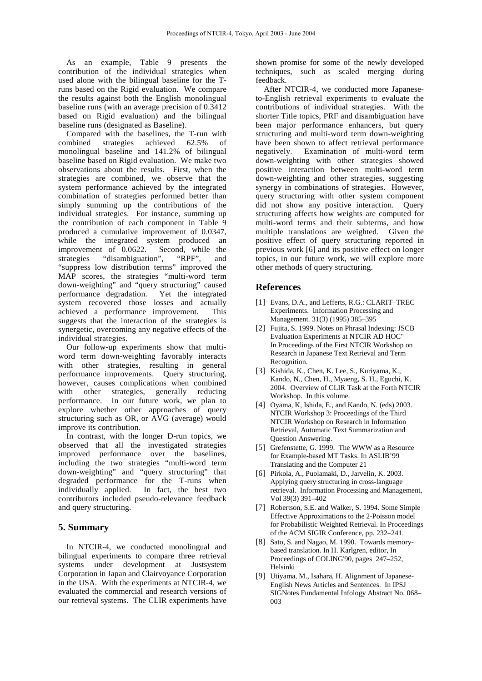As an example, Table 9 presents the contribution of the individual strategies when used alone with the bilingual baseline for the Truns based on the Rigid evaluation. We compare the results against both the English monolingual baseline runs (with an average precision of 0.3412 based on Rigid evaluation) and the bilingual baseline runs (designated as Baseline).

Compared with the baselines, the T-run with combined strategies achieved 62.5% of monolingual baseline and 141.2% of bilingual baseline based on Rigid evaluation. We make two observations about the results. First, when the strategies are combined, we observe that the system performance achieved by the integrated combination of strategies performed better than simply summing up the contributions of the individual strategies. For instance, summing up the contribution of each component in Table 9 produced a cumulative improvement of 0.0347, while the integrated system produced an improvement of 0.0622. Second, while the strategies "disambiguation", "RPF", and "suppress low distribution terms" improved the MAP scores, the strategies "multi-word term down-weighting" and "query structuring" caused<br>performance degradation. Yet the integrated performance degradation. system recovered those losses and actually achieved a performance improvement. This suggests that the interaction of the strategies is synergetic, overcoming any negative effects of the individual strategies.

Our follow-up experiments show that multiword term down-weighting favorably interacts with other strategies, resulting in general performance improvements. Query structuring, however, causes complications when combined with other strategies, generally reducing performance. In our future work, we plan to explore whether other approaches of query structuring such as OR, or AVG (average) would improve its contribution.

In contrast, with the longer D-run topics, we observed that all the investigated strategies improved performance over the baselines, including the two strategies "multi-word term down-weighting" and "query structuring" that degraded performance for the T-runs when individually applied. In fact, the best two contributors included pseudo-relevance feedback and query structuring.

## **5. Summary**

In NTCIR-4, we conducted monolingual and bilingual experiments to compare three retrieval systems under development at Justsystem Corporation in Japan and Clairvoyance Corporation in the USA. With the experiments at NTCIR-4, we evaluated the commercial and research versions of our retrieval systems. The CLIR experiments have shown promise for some of the newly developed techniques, such as scaled merging during feedback.

After NTCIR-4, we conducted more Japaneseto-English retrieval experiments to evaluate the contributions of individual strategies. With the shorter Title topics, PRF and disambiguation have been major performance enhancers, but query structuring and multi-word term down-weighting have been shown to affect retrieval performance negatively. Examination of multi-word term down-weighting with other strategies showed positive interaction between multi-word term down-weighting and other strategies, suggesting synergy in combinations of strategies. However, query structuring with other system component did not show any positive interaction. Query structuring affects how weights are computed for multi-word terms and their subterms, and how multiple translations are weighted. Given the positive effect of query structuring reported in previous work [6] and its positive effect on longer topics, in our future work, we will explore more other methods of query structuring.

## **References**

- [1] Evans, D.A., and Lefferts, R.G.: CLARIT–TREC Experiments. Information Processing and Management. 31(3) (1995) 385–395
- [2] Fujita, S. 1999. Notes on Phrasal Indexing: JSCB Evaluation Experiments at NTCIR AD HOC" In Proceedings of the First NTCIR Workshop on Research in Japanese Text Retrieval and Term Recognition.
- [3] Kishida, K., Chen, K. Lee, S., Kuriyama, K., Kando, N., Chen, H., Myaeng, S. H., Eguchi, K. 2004. Overview of CLIR Task at the Forth NTCIR Workshop. In this volume.
- [4] Oyama, K, Ishida, E., and Kando, N. (eds) 2003. NTCIR Workshop 3: Proceedings of the Third NTCIR Workshop on Research in Information Retrieval, Automatic Text Summarization and Question Answering.
- [5] Grefenstette, G. 1999. The WWW as a Resource for Example-based MT Tasks. In ASLIB'99 Translating and the Computer 21
- [6] Pirkola, A., Puolamaki, D., Jarvelin, K. 2003. Applying query structuring in cross-language retrieval. Information Processing and Management, Vol 39(3) 391–402
- [7] Robertson, S.E. and Walker, S. 1994. Some Simple Effective Approximations to the 2-Poisson model for Probabilistic Weighted Retrieval. In Proceedings of the ACM SIGIR Conference, pp. 232–241.
- [8] Sato, S. and Nagao, M. 1990. Towards memorybased translation. In H. Karlgren, editor, In Proceedings of COLING'90, pages 247–252, Helsinki
- [9] Utiyama, M., Isahara, H. Alignment of Japanese-English News Articles and Sentences. In IPSJ SIGNotes Fundamental Infology Abstract No. 068– 003